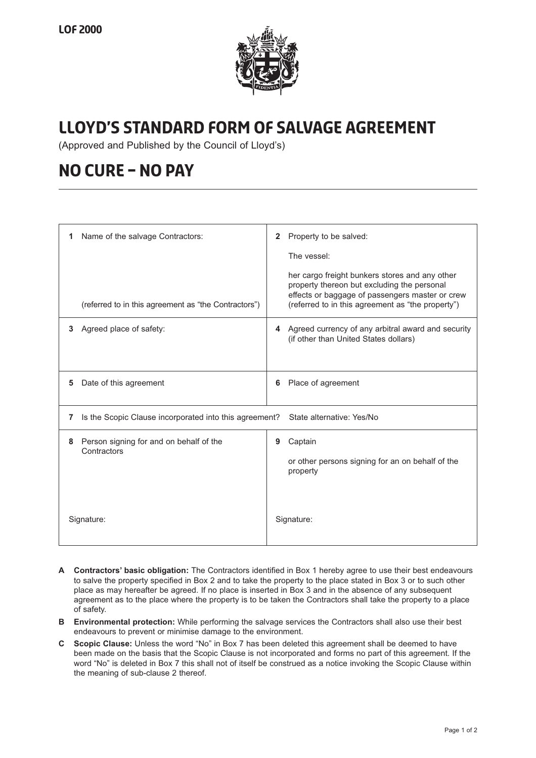

## **Lloyd's Standard Form of Salvage Agreement**

(Approved and Published by the Council of Lloyd's)

## **NO CURE – NO PAY**

| Name of the salvage Contractors:<br>1                                                    | Property to be salved:<br>$\mathbf{2}$                                                                                                                                                                |
|------------------------------------------------------------------------------------------|-------------------------------------------------------------------------------------------------------------------------------------------------------------------------------------------------------|
|                                                                                          | The vessel:                                                                                                                                                                                           |
| (referred to in this agreement as "the Contractors")                                     | her cargo freight bunkers stores and any other<br>property thereon but excluding the personal<br>effects or baggage of passengers master or crew<br>(referred to in this agreement as "the property") |
| Agreed place of safety:<br>3                                                             | Agreed currency of any arbitral award and security<br>4<br>(if other than United States dollars)                                                                                                      |
| Date of this agreement<br>5                                                              | Place of agreement<br>6                                                                                                                                                                               |
| Is the Scopic Clause incorporated into this agreement?<br>State alternative: Yes/No<br>7 |                                                                                                                                                                                                       |
| Person signing for and on behalf of the<br>8<br>Contractors                              | Captain<br>9<br>or other persons signing for an on behalf of the<br>property                                                                                                                          |
| Signature:                                                                               | Signature:                                                                                                                                                                                            |

- **A Contractors' basic obligation:** The Contractors identified in Box 1 hereby agree to use their best endeavours to salve the property specified in Box 2 and to take the property to the place stated in Box 3 or to such other place as may hereafter be agreed. If no place is inserted in Box 3 and in the absence of any subsequent agreement as to the place where the property is to be taken the Contractors shall take the property to a place of safety.
- **B Environmental protection:** While performing the salvage services the Contractors shall also use their best endeavours to prevent or minimise damage to the environment.
- **C Scopic Clause:** Unless the word "No" in Box 7 has been deleted this agreement shall be deemed to have been made on the basis that the Scopic Clause is not incorporated and forms no part of this agreement. If the word "No" is deleted in Box 7 this shall not of itself be construed as a notice invoking the Scopic Clause within the meaning of sub-clause 2 thereof.